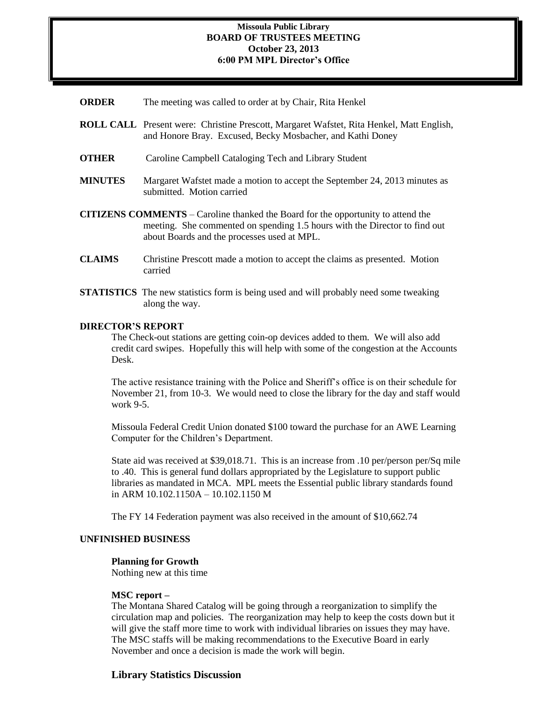### **Missoula Public Library BOARD OF TRUSTEES MEETING October 23, 2013 6:00 PM MPL Director's Office**

- **ORDER** The meeting was called to order at by Chair, Rita Henkel
- **ROLL CALL** Present were: Christine Prescott, Margaret Wafstet, Rita Henkel, Matt English, and Honore Bray. Excused, Becky Mosbacher, and Kathi Doney
- **OTHER** Caroline Campbell Cataloging Tech and Library Student
- **MINUTES** Margaret Wafstet made a motion to accept the September 24, 2013 minutes as submitted. Motion carried
- **CITIZENS COMMENTS**  Caroline thanked the Board for the opportunity to attend the meeting. She commented on spending 1.5 hours with the Director to find out about Boards and the processes used at MPL.
- **CLAIMS** Christine Prescott made a motion to accept the claims as presented. Motion carried
- **STATISTICS** The new statistics form is being used and will probably need some tweaking along the way.

### **DIRECTOR'S REPORT**

The Check-out stations are getting coin-op devices added to them. We will also add credit card swipes. Hopefully this will help with some of the congestion at the Accounts Desk.

The active resistance training with the Police and Sheriff's office is on their schedule for November 21, from 10-3. We would need to close the library for the day and staff would work 9-5.

Missoula Federal Credit Union donated \$100 toward the purchase for an AWE Learning Computer for the Children's Department.

State aid was received at \$39,018.71. This is an increase from .10 per/person per/Sq mile to .40. This is general fund dollars appropriated by the Legislature to support public libraries as mandated in MCA. MPL meets the Essential public library standards found in ARM 10.102.1150A – 10.102.1150 M

The FY 14 Federation payment was also received in the amount of \$10,662.74

#### **UNFINISHED BUSINESS**

#### **Planning for Growth**

Nothing new at this time

#### **MSC report –**

The Montana Shared Catalog will be going through a reorganization to simplify the circulation map and policies. The reorganization may help to keep the costs down but it will give the staff more time to work with individual libraries on issues they may have. The MSC staffs will be making recommendations to the Executive Board in early November and once a decision is made the work will begin.

#### **Library Statistics Discussion**